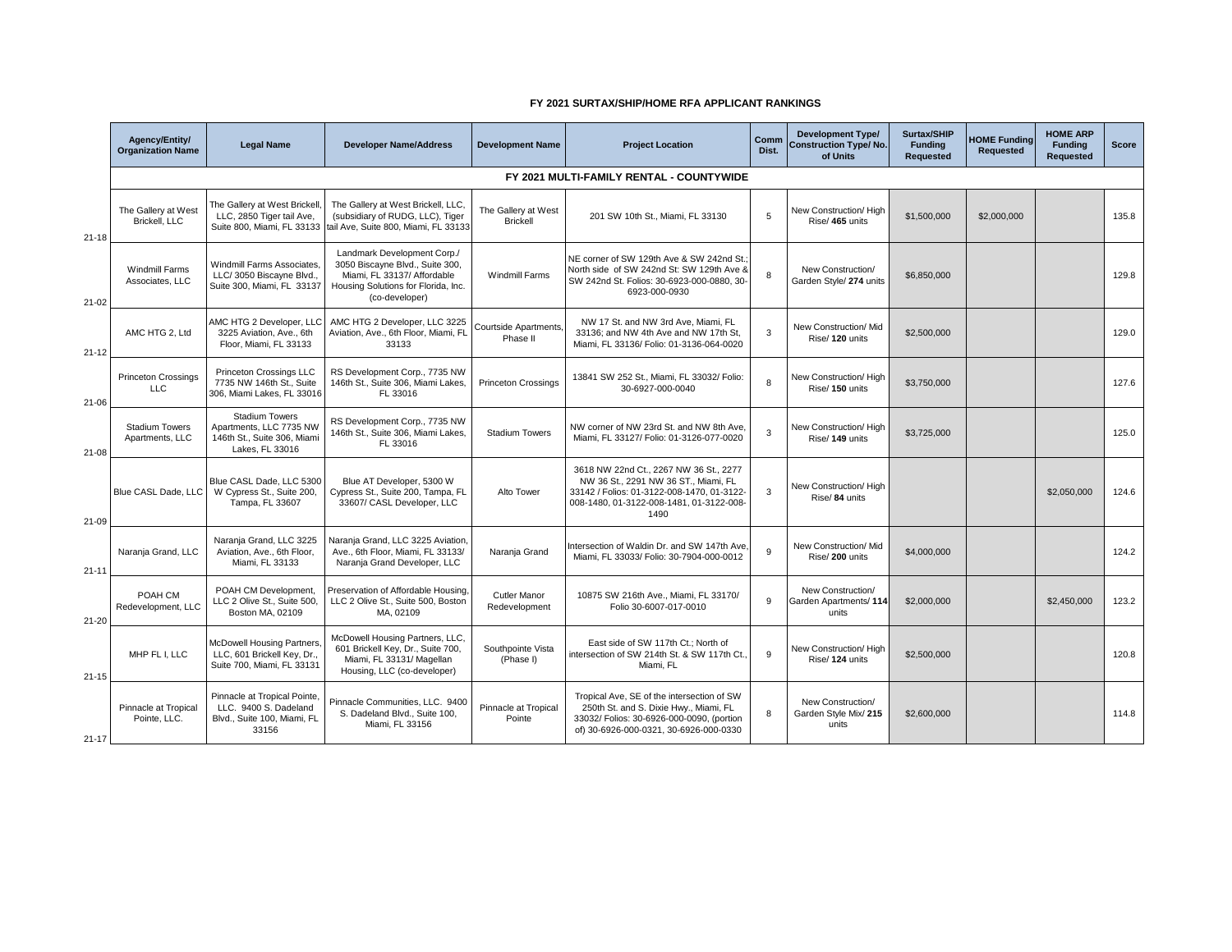## **FY 2021 SURTAX/SHIP/HOME RFA APPLICANT RANKINGS**

|                        | Agency/Entity/<br><b>Organization Name</b> | <b>Legal Name</b>                                                                                  | <b>Developer Name/Address</b>                                                                                                                          | <b>Development Name</b>                 | <b>Project Location</b>                                                                                                                                                          | Comm<br>Dist. | <b>Development Type/</b><br><b>Construction Type/No.</b><br>of Units | Surtax/SHIP<br><b>Funding</b><br>Requested | <b>IOME Funding</b><br>Requested | <b>HOME ARP</b><br><b>Funding</b><br>Requested | <b>Score</b> |
|------------------------|--------------------------------------------|----------------------------------------------------------------------------------------------------|--------------------------------------------------------------------------------------------------------------------------------------------------------|-----------------------------------------|----------------------------------------------------------------------------------------------------------------------------------------------------------------------------------|---------------|----------------------------------------------------------------------|--------------------------------------------|----------------------------------|------------------------------------------------|--------------|
|                        | FY 2021 MULTI-FAMILY RENTAL - COUNTYWIDE   |                                                                                                    |                                                                                                                                                        |                                         |                                                                                                                                                                                  |               |                                                                      |                                            |                                  |                                                |              |
| $21 - 18$<br>$21 - 02$ | The Gallery at West<br>Brickell, LLC       | The Gallery at West Brickell,<br>LLC, 2850 Tiger tail Ave,<br>Suite 800, Miami, FL 33133           | The Gallery at West Brickell, LLC,<br>(subsidiary of RUDG, LLC), Tiger<br>tail Ave, Suite 800, Miami, FL 33133                                         | The Gallery at West<br><b>Brickell</b>  | 201 SW 10th St., Miami, FL 33130                                                                                                                                                 | 5             | New Construction/High<br>Rise/ 465 units                             | \$1,500,000                                | \$2,000,000                      |                                                | 135.8        |
|                        | <b>Windmill Farms</b><br>Associates, LLC   | Windmill Farms Associates.<br>LLC/ 3050 Biscayne Blvd.,<br>Suite 300, Miami, FL 33137              | Landmark Development Corp./<br>3050 Biscayne Blvd., Suite 300,<br>Miami, FL 33137/ Affordable<br>Housing Solutions for Florida, Inc.<br>(co-developer) | <b>Windmill Farms</b>                   | NE corner of SW 129th Ave & SW 242nd St.<br>North side of SW 242nd St: SW 129th Ave &<br>SW 242nd St. Folios: 30-6923-000-0880, 30-<br>6923-000-0930                             | 8             | New Construction/<br>Garden Style/ 274 units                         | \$6,850,000                                |                                  |                                                | 129.8        |
| $21 - 12$              | AMC HTG 2, Ltd                             | AMC HTG 2 Developer, LLC<br>3225 Aviation, Ave., 6th<br>Floor, Miami, FL 33133                     | AMC HTG 2 Developer, LLC 3225<br>Aviation, Ave., 6th Floor, Miami, FL<br>33133                                                                         | <b>Courtside Apartments</b><br>Phase II | NW 17 St. and NW 3rd Ave. Miami. FL<br>33136; and NW 4th Ave and NW 17th St,<br>Miami, FL 33136/ Folio: 01-3136-064-0020                                                         | 3             | New Construction/ Mid<br>Rise/120 units                              | \$2,500,000                                |                                  |                                                | 129.0        |
| $21 - 06$              | <b>Princeton Crossings</b><br><b>LLC</b>   | Princeton Crossings LLC<br>7735 NW 146th St., Suite<br>306, Miami Lakes, FL 33016                  | RS Development Corp., 7735 NW<br>146th St., Suite 306, Miami Lakes.<br>FL 33016                                                                        | <b>Princeton Crossings</b>              | 13841 SW 252 St., Miami, FL 33032/ Folio:<br>30-6927-000-0040                                                                                                                    | 8             | New Construction/High<br>Rise/150 units                              | \$3,750,000                                |                                  |                                                | 127.6        |
| $21 - 08$              | <b>Stadium Towers</b><br>Apartments, LLC   | <b>Stadium Towers</b><br>Apartments, LLC 7735 NW<br>146th St., Suite 306, Miami<br>Lakes, FL 33016 | RS Development Corp., 7735 NW<br>146th St., Suite 306, Miami Lakes.<br>FL 33016                                                                        | <b>Stadium Towers</b>                   | NW corner of NW 23rd St. and NW 8th Ave,<br>Miami, FL 33127/ Folio: 01-3126-077-0020                                                                                             | 3             | New Construction/ High<br>Rise/ 149 units                            | \$3,725,000                                |                                  |                                                | 125.0        |
| $21 - 09$              | Blue CASL Dade, LLC                        | Blue CASL Dade, LLC 5300<br>W Cypress St., Suite 200,<br>Tampa, FL 33607                           | Blue AT Developer, 5300 W<br>Cypress St., Suite 200, Tampa, FL<br>33607/ CASL Developer, LLC                                                           | Alto Tower                              | 3618 NW 22nd Ct., 2267 NW 36 St., 2277<br>NW 36 St., 2291 NW 36 ST., Miami, FL<br>33142 / Folios: 01-3122-008-1470, 01-3122-<br>008-1480, 01-3122-008-1481, 01-3122-008-<br>1490 | 3             | New Construction/High<br>Rise/ 84 units                              |                                            |                                  | \$2,050,000                                    | 124.6        |
| $21 - 11$              | Naranja Grand, LLC                         | Naranja Grand, LLC 3225<br>Aviation, Ave., 6th Floor,<br>Miami, FL 33133                           | Naranja Grand, LLC 3225 Aviation.<br>Ave., 6th Floor, Miami, FL 33133/<br>Naranja Grand Developer, LLC                                                 | Naranja Grand                           | Intersection of Waldin Dr. and SW 147th Ave,<br>Miami, FL 33033/ Folio: 30-7904-000-0012                                                                                         | 9             | New Construction/ Mid<br>Rise/200 units                              | \$4,000,000                                |                                  |                                                | 124.2        |
| $21 - 20$              | POAH CM<br>Redevelopment, LLC              | POAH CM Development,<br>LLC 2 Olive St., Suite 500,<br>Boston MA, 02109                            | Preservation of Affordable Housing.<br>LLC 2 Olive St., Suite 500, Boston<br>MA. 02109                                                                 | <b>Cutler Manor</b><br>Redevelopment    | 10875 SW 216th Ave., Miami, FL 33170/<br>Folio 30-6007-017-0010                                                                                                                  | 9             | New Construction/<br>Garden Apartments/114<br>units                  | \$2,000,000                                |                                  | \$2,450,000                                    | 123.2        |
| $21 - 15$              | MHP FL I, LLC                              | <b>McDowell Housing Partners,</b><br>LLC, 601 Brickell Key, Dr.,<br>Suite 700, Miami, FL 33131     | McDowell Housing Partners, LLC,<br>601 Brickell Key, Dr., Suite 700,<br>Miami, FL 33131/ Magellan<br>Housing, LLC (co-developer)                       | Southpointe Vista<br>(Phase I)          | East side of SW 117th Ct.: North of<br>intersection of SW 214th St. & SW 117th Ct.,<br>Miami, FL                                                                                 | 9             | New Construction/ High<br>Rise/ 124 units                            | \$2,500,000                                |                                  |                                                | 120.8        |
| $21 - 17$              | Pinnacle at Tropical<br>Pointe, LLC.       | Pinnacle at Tropical Pointe<br>LLC. 9400 S. Dadeland<br>Blvd., Suite 100, Miami, FL<br>33156       | Pinnacle Communities, LLC. 9400<br>S. Dadeland Blvd., Suite 100,<br>Miami, FL 33156                                                                    | Pinnacle at Tropical<br>Pointe          | Tropical Ave, SE of the intersection of SW<br>250th St. and S. Dixie Hwy., Miami, FL<br>33032/ Folios: 30-6926-000-0090, (portion<br>of) 30-6926-000-0321, 30-6926-000-0330      | 8             | New Construction/<br>Garden Style Mix/ 215<br>units                  | \$2,600,000                                |                                  |                                                | 114.8        |